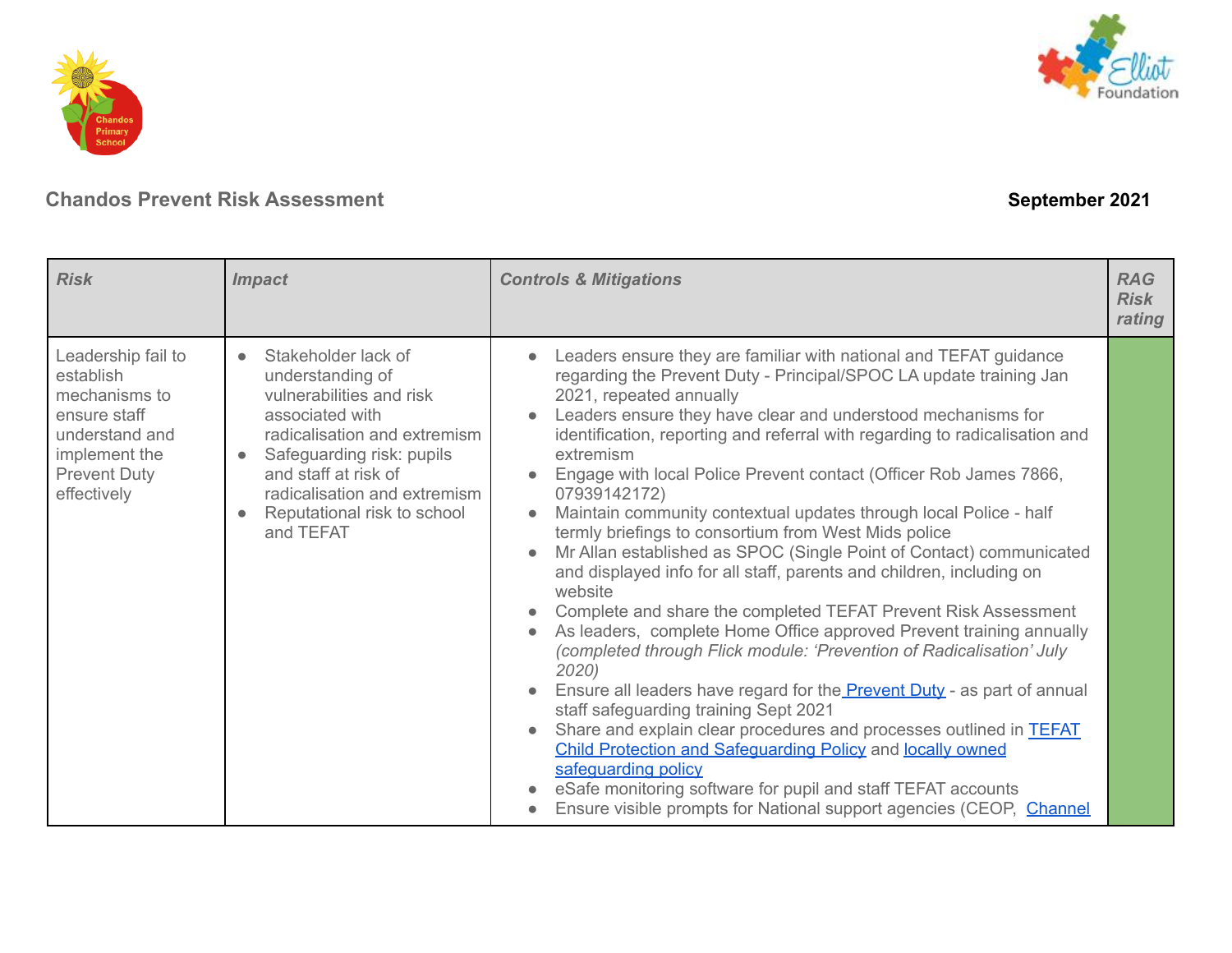



| <b>Risk</b>                                                                                                                               | <b>Impact</b>                                                                                                                                                                                                                                                        | <b>Controls &amp; Mitigations</b>                                                                                                                                                                                                                                                                                                                                                                                                                                                                                                                                                                                                                                                                                                                                                                                                                                                                                                                                                                                                                                                                                                                                                                                                                                                                                                                                                                               | <b>RAG</b><br><b>Risk</b><br>rating |
|-------------------------------------------------------------------------------------------------------------------------------------------|----------------------------------------------------------------------------------------------------------------------------------------------------------------------------------------------------------------------------------------------------------------------|-----------------------------------------------------------------------------------------------------------------------------------------------------------------------------------------------------------------------------------------------------------------------------------------------------------------------------------------------------------------------------------------------------------------------------------------------------------------------------------------------------------------------------------------------------------------------------------------------------------------------------------------------------------------------------------------------------------------------------------------------------------------------------------------------------------------------------------------------------------------------------------------------------------------------------------------------------------------------------------------------------------------------------------------------------------------------------------------------------------------------------------------------------------------------------------------------------------------------------------------------------------------------------------------------------------------------------------------------------------------------------------------------------------------|-------------------------------------|
| Leadership fail to<br>establish<br>mechanisms to<br>ensure staff<br>understand and<br>implement the<br><b>Prevent Duty</b><br>effectively | Stakeholder lack of<br>$\bullet$<br>understanding of<br>vulnerabilities and risk<br>associated with<br>radicalisation and extremism<br>Safeguarding risk: pupils<br>and staff at risk of<br>radicalisation and extremism<br>Reputational risk to school<br>and TEFAT | Leaders ensure they are familiar with national and TEFAT guidance<br>regarding the Prevent Duty - Principal/SPOC LA update training Jan<br>2021, repeated annually<br>Leaders ensure they have clear and understood mechanisms for<br>identification, reporting and referral with regarding to radicalisation and<br>extremism<br>Engage with local Police Prevent contact (Officer Rob James 7866,<br>07939142172)<br>Maintain community contextual updates through local Police - half<br>termly briefings to consortium from West Mids police<br>Mr Allan established as SPOC (Single Point of Contact) communicated<br>$\bullet$<br>and displayed info for all staff, parents and children, including on<br>website<br>Complete and share the completed TEFAT Prevent Risk Assessment<br>As leaders, complete Home Office approved Prevent training annually<br>$\bullet$<br>(completed through Flick module: 'Prevention of Radicalisation' July<br>2020)<br>Ensure all leaders have regard for the <b>Prevent Duty</b> - as part of annual<br>staff safeguarding training Sept 2021<br>Share and explain clear procedures and processes outlined in <b>TEFAT</b><br>$\bullet$<br>Child Protection and Safeguarding Policy and locally owned<br>safeguarding policy<br>eSafe monitoring software for pupil and staff TEFAT accounts<br>Ensure visible prompts for National support agencies (CEOP, Channel |                                     |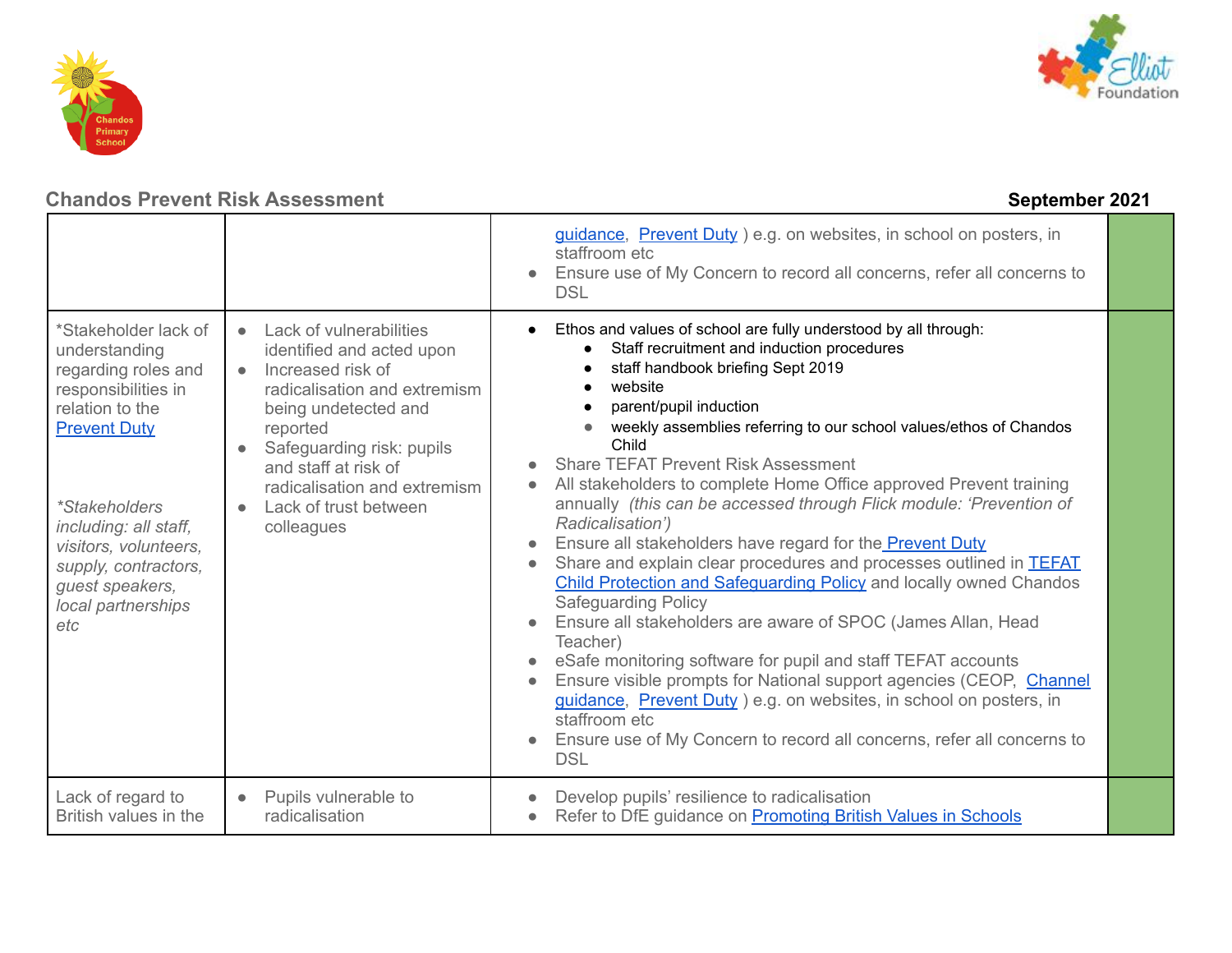



|                                                                                                                                                                                                                                                                                 |                                                                                                                                                                                                                                                                                            | guidance, Prevent Duty ) e.g. on websites, in school on posters, in<br>staffroom etc<br>Ensure use of My Concern to record all concerns, refer all concerns to<br><b>DSL</b>                                                                                                                                                                                                                                                                                                                                                                                                                                                                                                                                                                                                                                                                                                                                                                                                                                                                                                                                                                       |  |
|---------------------------------------------------------------------------------------------------------------------------------------------------------------------------------------------------------------------------------------------------------------------------------|--------------------------------------------------------------------------------------------------------------------------------------------------------------------------------------------------------------------------------------------------------------------------------------------|----------------------------------------------------------------------------------------------------------------------------------------------------------------------------------------------------------------------------------------------------------------------------------------------------------------------------------------------------------------------------------------------------------------------------------------------------------------------------------------------------------------------------------------------------------------------------------------------------------------------------------------------------------------------------------------------------------------------------------------------------------------------------------------------------------------------------------------------------------------------------------------------------------------------------------------------------------------------------------------------------------------------------------------------------------------------------------------------------------------------------------------------------|--|
| *Stakeholder lack of<br>understanding<br>regarding roles and<br>responsibilities in<br>relation to the<br><b>Prevent Duty</b><br><i>*Stakeholders</i><br>including: all staff,<br>visitors, volunteers,<br>supply, contractors,<br>guest speakers,<br>local partnerships<br>etc | • Lack of vulnerabilities<br>identified and acted upon<br>• Increased risk of<br>radicalisation and extremism<br>being undetected and<br>reported<br>Safeguarding risk: pupils<br>and staff at risk of<br>radicalisation and extremism<br>Lack of trust between<br>$\bullet$<br>colleagues | Ethos and values of school are fully understood by all through:<br>Staff recruitment and induction procedures<br>staff handbook briefing Sept 2019<br>website<br>parent/pupil induction<br>weekly assemblies referring to our school values/ethos of Chandos<br>Child<br><b>Share TEFAT Prevent Risk Assessment</b><br>All stakeholders to complete Home Office approved Prevent training<br>annually (this can be accessed through Flick module: 'Prevention of<br>Radicalisation')<br>Ensure all stakeholders have regard for the <b>Prevent Duty</b><br>Share and explain clear procedures and processes outlined in <b>TEFAT</b><br><b>Child Protection and Safeguarding Policy and locally owned Chandos</b><br><b>Safeguarding Policy</b><br>Ensure all stakeholders are aware of SPOC (James Allan, Head<br>Teacher)<br>eSafe monitoring software for pupil and staff TEFAT accounts<br>Ensure visible prompts for National support agencies (CEOP, Channel<br>guidance, Prevent Duty ) e.g. on websites, in school on posters, in<br>staffroom etc<br>Ensure use of My Concern to record all concerns, refer all concerns to<br><b>DSL</b> |  |
| Lack of regard to<br>British values in the                                                                                                                                                                                                                                      | Pupils vulnerable to<br>$\bullet$<br>radicalisation                                                                                                                                                                                                                                        | Develop pupils' resilience to radicalisation<br>Refer to DfE guidance on Promoting British Values in Schools                                                                                                                                                                                                                                                                                                                                                                                                                                                                                                                                                                                                                                                                                                                                                                                                                                                                                                                                                                                                                                       |  |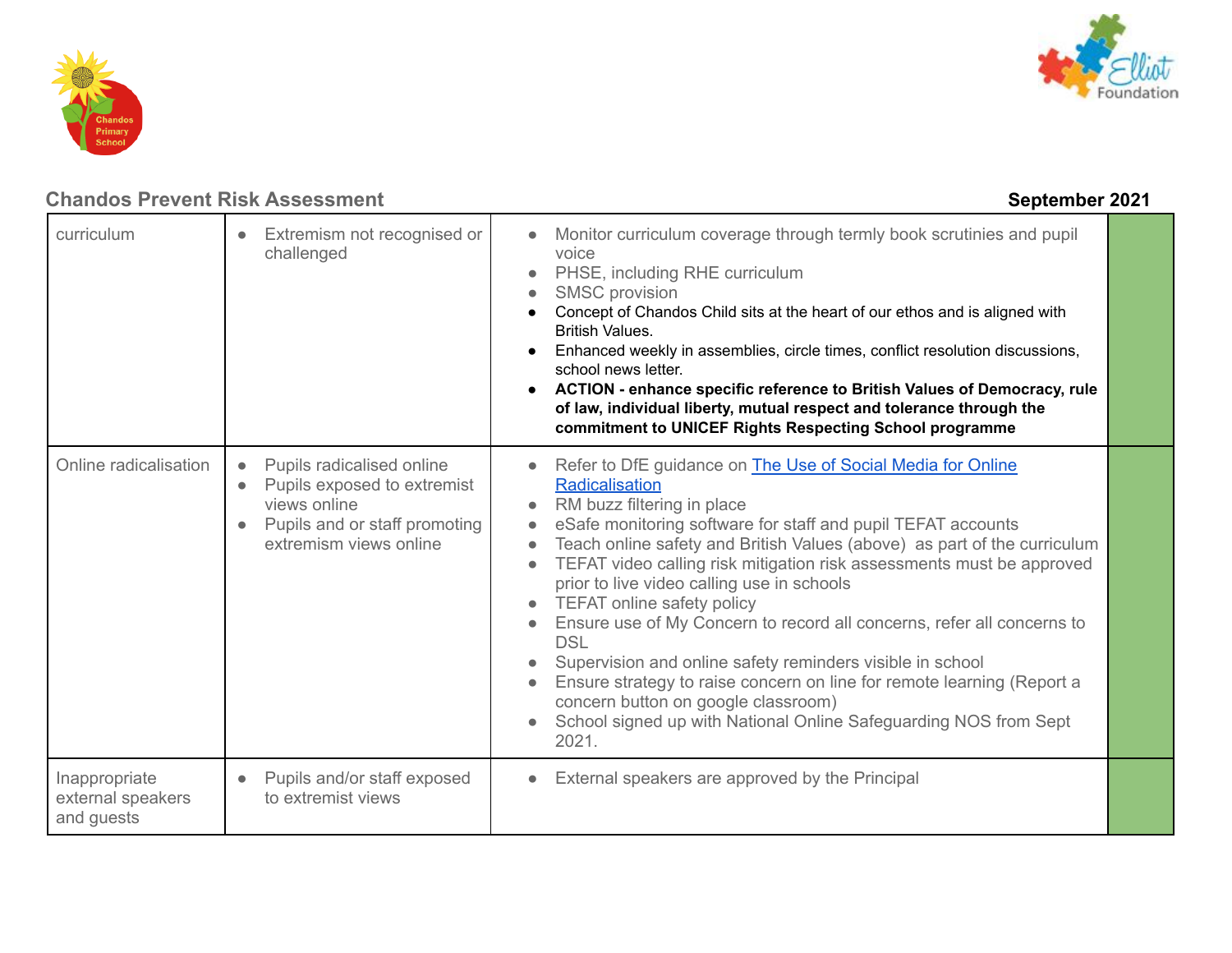



| curriculum                                       | Extremism not recognised or<br>challenged                                                                                           | Monitor curriculum coverage through termly book scrutinies and pupil<br>voice<br>PHSE, including RHE curriculum<br><b>SMSC</b> provision<br>Concept of Chandos Child sits at the heart of our ethos and is aligned with<br><b>British Values.</b><br>Enhanced weekly in assemblies, circle times, conflict resolution discussions,<br>school news letter.<br>ACTION - enhance specific reference to British Values of Democracy, rule<br>of law, individual liberty, mutual respect and tolerance through the<br>commitment to UNICEF Rights Respecting School programme                                                                                                                                                                                               |  |
|--------------------------------------------------|-------------------------------------------------------------------------------------------------------------------------------------|------------------------------------------------------------------------------------------------------------------------------------------------------------------------------------------------------------------------------------------------------------------------------------------------------------------------------------------------------------------------------------------------------------------------------------------------------------------------------------------------------------------------------------------------------------------------------------------------------------------------------------------------------------------------------------------------------------------------------------------------------------------------|--|
| Online radicalisation                            | Pupils radicalised online<br>Pupils exposed to extremist<br>views online<br>Pupils and or staff promoting<br>extremism views online | Refer to DfE guidance on <b>The Use of Social Media for Online</b><br>Radicalisation<br>RM buzz filtering in place<br>eSafe monitoring software for staff and pupil TEFAT accounts<br>Teach online safety and British Values (above) as part of the curriculum<br>TEFAT video calling risk mitigation risk assessments must be approved<br>prior to live video calling use in schools<br>TEFAT online safety policy<br>Ensure use of My Concern to record all concerns, refer all concerns to<br><b>DSL</b><br>Supervision and online safety reminders visible in school<br>Ensure strategy to raise concern on line for remote learning (Report a<br>concern button on google classroom)<br>School signed up with National Online Safeguarding NOS from Sept<br>2021. |  |
| Inappropriate<br>external speakers<br>and guests | Pupils and/or staff exposed<br>to extremist views                                                                                   | External speakers are approved by the Principal                                                                                                                                                                                                                                                                                                                                                                                                                                                                                                                                                                                                                                                                                                                        |  |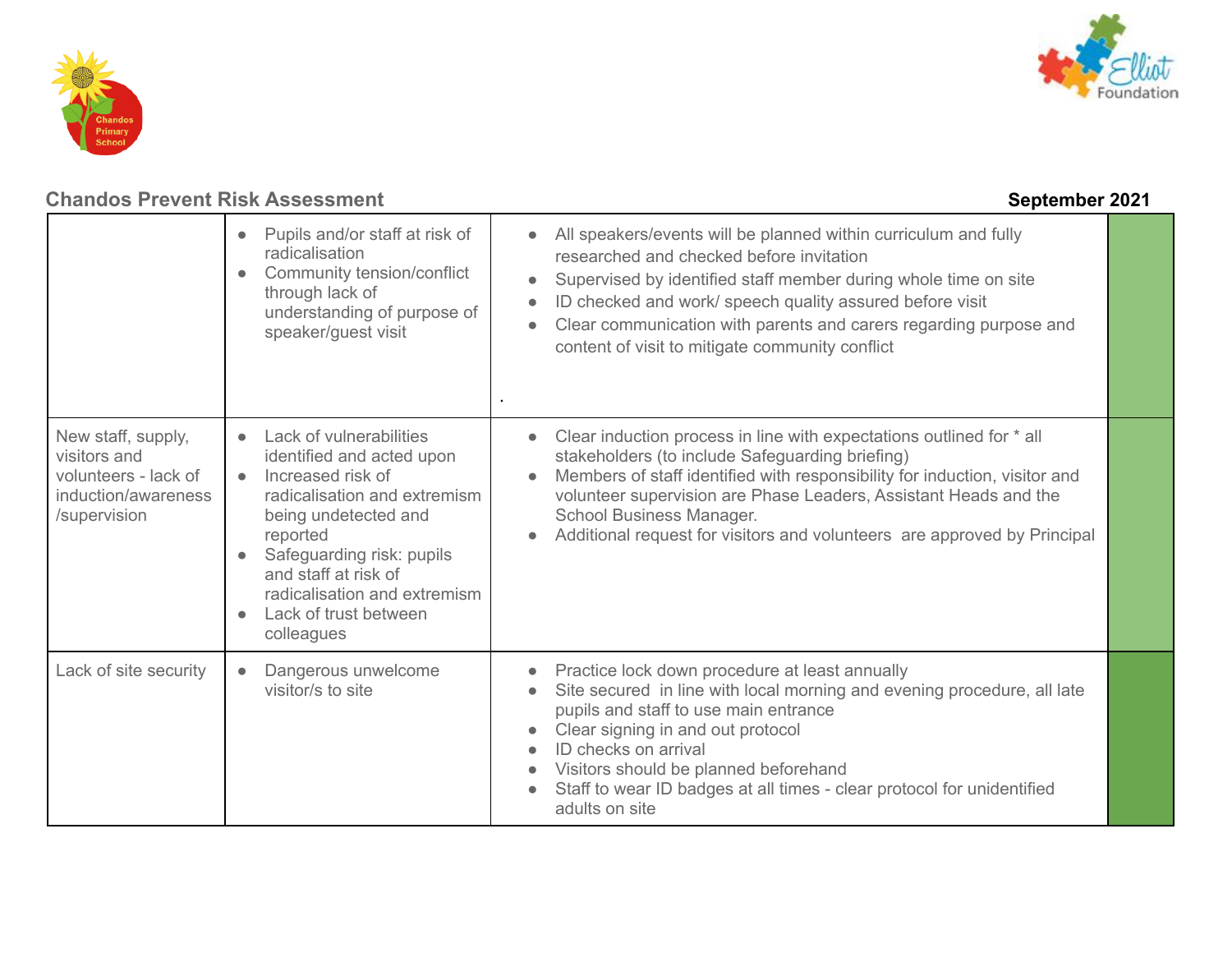



|                                                                                                   | Pupils and/or staff at risk of<br>radicalisation<br>Community tension/conflict<br>through lack of<br>understanding of purpose of<br>speaker/guest visit                                                                                                                                | All speakers/events will be planned within curriculum and fully<br>$\bullet$<br>researched and checked before invitation<br>Supervised by identified staff member during whole time on site<br>$\bullet$<br>ID checked and work/ speech quality assured before visit<br>$\bullet$<br>Clear communication with parents and carers regarding purpose and<br>content of visit to mitigate community conflict |  |
|---------------------------------------------------------------------------------------------------|----------------------------------------------------------------------------------------------------------------------------------------------------------------------------------------------------------------------------------------------------------------------------------------|-----------------------------------------------------------------------------------------------------------------------------------------------------------------------------------------------------------------------------------------------------------------------------------------------------------------------------------------------------------------------------------------------------------|--|
| New staff, supply,<br>visitors and<br>volunteers - lack of<br>induction/awareness<br>/supervision | Lack of vulnerabilities<br>identified and acted upon<br>Increased risk of<br>$\bullet$<br>radicalisation and extremism<br>being undetected and<br>reported<br>Safeguarding risk: pupils<br>and staff at risk of<br>radicalisation and extremism<br>Lack of trust between<br>colleagues | Clear induction process in line with expectations outlined for * all<br>$\bullet$<br>stakeholders (to include Safeguarding briefing)<br>Members of staff identified with responsibility for induction, visitor and<br>volunteer supervision are Phase Leaders, Assistant Heads and the<br>School Business Manager.<br>Additional request for visitors and volunteers are approved by Principal            |  |
| Lack of site security                                                                             | Dangerous unwelcome<br>visitor/s to site                                                                                                                                                                                                                                               | Practice lock down procedure at least annually<br>Site secured in line with local morning and evening procedure, all late<br>pupils and staff to use main entrance<br>Clear signing in and out protocol<br>ID checks on arrival<br>Visitors should be planned beforehand<br>Staff to wear ID badges at all times - clear protocol for unidentified<br>adults on site                                      |  |